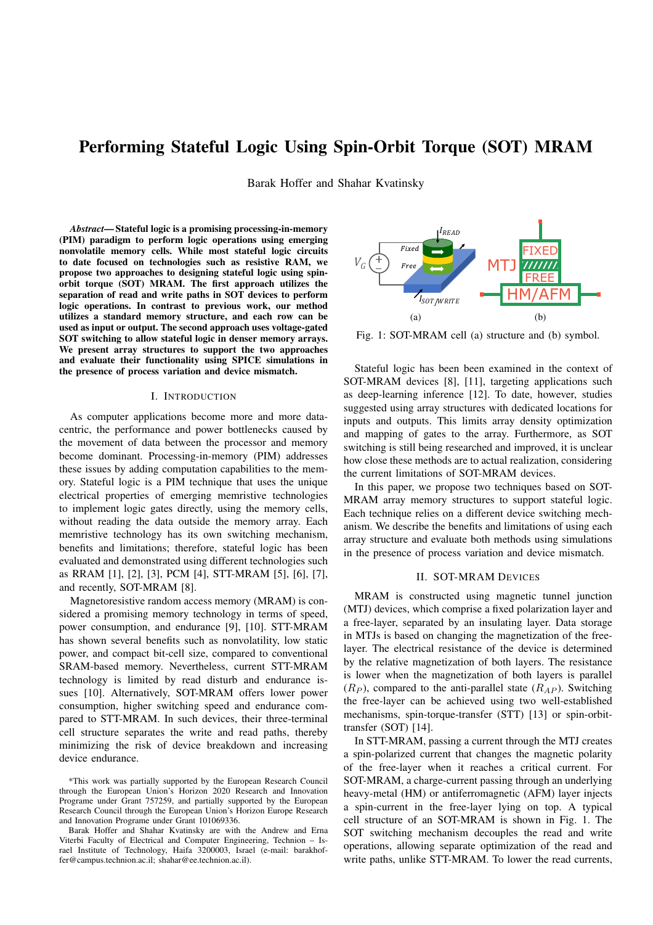# Performing Stateful Logic Using Spin-Orbit Torque (SOT) MRAM

Barak Hoffer and Shahar Kvatinsky

Abstract-Stateful logic is a promising processing-in-memory (PIM) paradigm to perform logic operations using emerging nonvolatile memory cells. While most stateful logic circuits to date focused on technologies such as resistive RAM, we propose two approaches to designing stateful logic using spinorbit torque (SOT) MRAM. The first approach utilizes the separation of read and write paths in SOT devices to perform logic operations. In contrast to previous work, our method utilizes a standard memory structure, and each row can be used as input or output. The second approach uses voltage-gated SOT switching to allow stateful logic in denser memory arrays. We present array structures to support the two approaches and evaluate their functionality using SPICE simulations in the presence of process variation and device mismatch.

#### I. INTRODUCTION

As computer applications become more and more datacentric, the performance and power bottlenecks caused by the movement of data between the processor and memory become dominant. Processing-in-memory (PIM) addresses these issues by adding computation capabilities to the memory. Stateful logic is a PIM technique that uses the unique electrical properties of emerging memristive technologies to implement logic gates directly, using the memory cells, without reading the data outside the memory array. Each memristive technology has its own switching mechanism, benefits and limitations; therefore, stateful logic has been evaluated and demonstrated using different technologies such as RRAM [1], [2], [3], PCM [4], STT-MRAM [5], [6], [7], and recently, SOT-MRAM [8].

Magnetoresistive random access memory (MRAM) is considered a promising memory technology in terms of speed, power consumption, and endurance [9], [10]. STT-MRAM has shown several benefits such as nonvolatility, low static power, and compact bit-cell size, compared to conventional SRAM-based memory. Nevertheless, current STT-MRAM technology is limited by read disturb and endurance issues [10]. Alternatively, SOT-MRAM offers lower power consumption, higher switching speed and endurance compared to STT-MRAM. In such devices, their three-terminal cell structure separates the write and read paths, thereby minimizing the risk of device breakdown and increasing device endurance.



Fig. 1: SOT-MRAM cell (a) structure and (b) symbol.

Stateful logic has been been examined in the context of SOT-MRAM devices [8], [11], targeting applications such as deep-learning inference [12]. To date, however, studies suggested using array structures with dedicated locations for inputs and outputs. This limits array density optimization and mapping of gates to the array. Furthermore, as SOT switching is still being researched and improved, it is unclear how close these methods are to actual realization, considering the current limitations of SOT-MRAM devices.

In this paper, we propose two techniques based on SOT-MRAM array memory structures to support stateful logic. Each technique relies on a different device switching mechanism. We describe the benefits and limitations of using each array structure and evaluate both methods using simulations in the presence of process variation and device mismatch.

## **II. SOT-MRAM DEVICES**

MRAM is constructed using magnetic tunnel junction (MTJ) devices, which comprise a fixed polarization layer and a free-layer, separated by an insulating layer. Data storage in MTJs is based on changing the magnetization of the freelayer. The electrical resistance of the device is determined by the relative magnetization of both layers. The resistance is lower when the magnetization of both layers is parallel  $(R_P)$ , compared to the anti-parallel state  $(R_{AP})$ . Switching the free-layer can be achieved using two well-established mechanisms, spin-torque-transfer (STT) [13] or spin-orbittransfer (SOT) [14].

In STT-MRAM, passing a current through the MTJ creates a spin-polarized current that changes the magnetic polarity of the free-layer when it reaches a critical current. For SOT-MRAM, a charge-current passing through an underlying heavy-metal (HM) or antiferromagnetic (AFM) layer injects a spin-current in the free-layer lying on top. A typical cell structure of an SOT-MRAM is shown in Fig. 1. The SOT switching mechanism decouples the read and write operations, allowing separate optimization of the read and write paths, unlike STT-MRAM. To lower the read currents,

<sup>\*</sup>This work was partially supported by the European Research Council through the European Union's Horizon 2020 Research and Innovation Programe under Grant 757259, and partially supported by the European Research Council through the European Union's Horizon Europe Research and Innovation Programe under Grant 101069336.

Barak Hoffer and Shahar Kvatinsky are with the Andrew and Erna Viterbi Faculty of Electrical and Computer Engineering, Technion - Israel Institute of Technology, Haifa 3200003, Israel (e-mail: barakhoffer@campus.technion.ac.il; shahar@ee.technion.ac.il).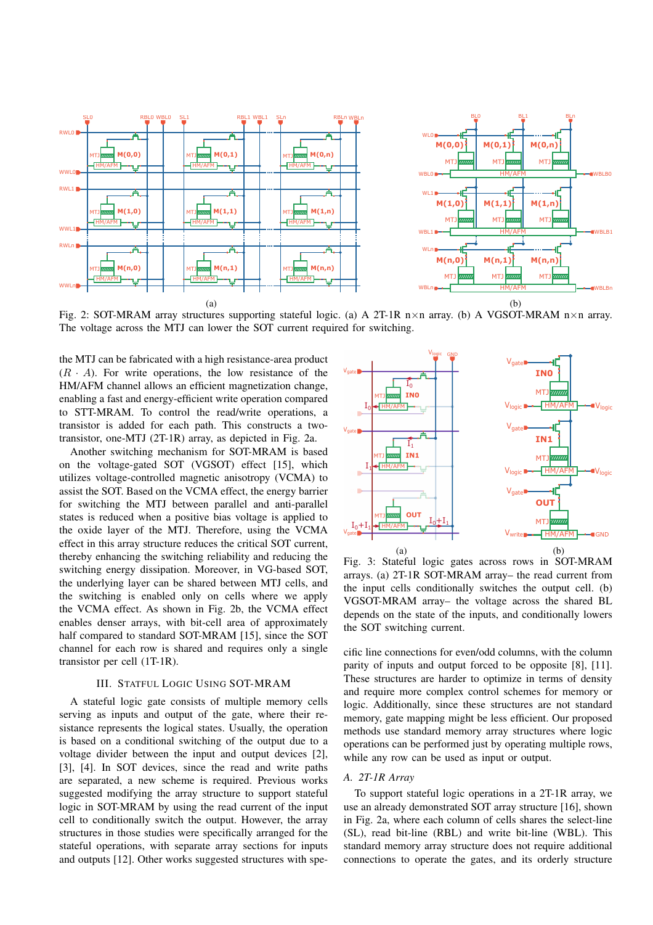

Fig. 2: SOT-MRAM array structures supporting stateful logic. (a) A 2T-1R n $\times$ n array. (b) A VGSOT-MRAM n $\times$ n array. The voltage across the MTJ can lower the SOT current required for switching.

the MTJ can be fabricated with a high resistance-area product  $(R \cdot A)$ . For write operations, the low resistance of the HM/AFM channel allows an efficient magnetization change, enabling a fast and energy-efficient write operation compared to STT-MRAM. To control the read/write operations, a transistor is added for each path. This constructs a twotransistor, one-MTJ (2T-1R) array, as depicted in Fig. 2a.

Another switching mechanism for SOT-MRAM is based on the voltage-gated SOT (VGSOT) effect [15], which utilizes voltage-controlled magnetic anisotropy (VCMA) to assist the SOT. Based on the VCMA effect, the energy barrier for switching the MTJ between parallel and anti-parallel states is reduced when a positive bias voltage is applied to the oxide layer of the MTJ. Therefore, using the VCMA effect in this array structure reduces the critical SOT current, thereby enhancing the switching reliability and reducing the switching energy dissipation. Moreover, in VG-based SOT, the underlying layer can be shared between MTJ cells, and the switching is enabled only on cells where we apply the VCMA effect. As shown in Fig. 2b, the VCMA effect enables denser arrays, with bit-cell area of approximately half compared to standard SOT-MRAM [15], since the SOT channel for each row is shared and requires only a single transistor per cell  $(1T-1R)$ .

## **III. STATFUL LOGIC USING SOT-MRAM**

A stateful logic gate consists of multiple memory cells serving as inputs and output of the gate, where their resistance represents the logical states. Usually, the operation is based on a conditional switching of the output due to a voltage divider between the input and output devices [2], [3], [4]. In SOT devices, since the read and write paths are separated, a new scheme is required. Previous works suggested modifying the array structure to support stateful logic in SOT-MRAM by using the read current of the input cell to conditionally switch the output. However, the array structures in those studies were specifically arranged for the stateful operations, with separate array sections for inputs and outputs [12]. Other works suggested structures with spe-



Fig. 3: Stateful logic gates across rows in SOT-MRAM arrays. (a) 2T-1R SOT-MRAM array- the read current from the input cells conditionally switches the output cell. (b) VGSOT-MRAM array- the voltage across the shared BL depends on the state of the inputs, and conditionally lowers the SOT switching current.

cific line connections for even/odd columns, with the column parity of inputs and output forced to be opposite [8], [11]. These structures are harder to optimize in terms of density and require more complex control schemes for memory or logic. Additionally, since these structures are not standard memory, gate mapping might be less efficient. Our proposed methods use standard memory array structures where logic operations can be performed just by operating multiple rows, while any row can be used as input or output.

## A. 2T-1R Array

To support stateful logic operations in a 2T-1R array, we use an already demonstrated SOT array structure [16], shown in Fig. 2a, where each column of cells shares the select-line (SL), read bit-line (RBL) and write bit-line (WBL). This standard memory array structure does not require additional connections to operate the gates, and its orderly structure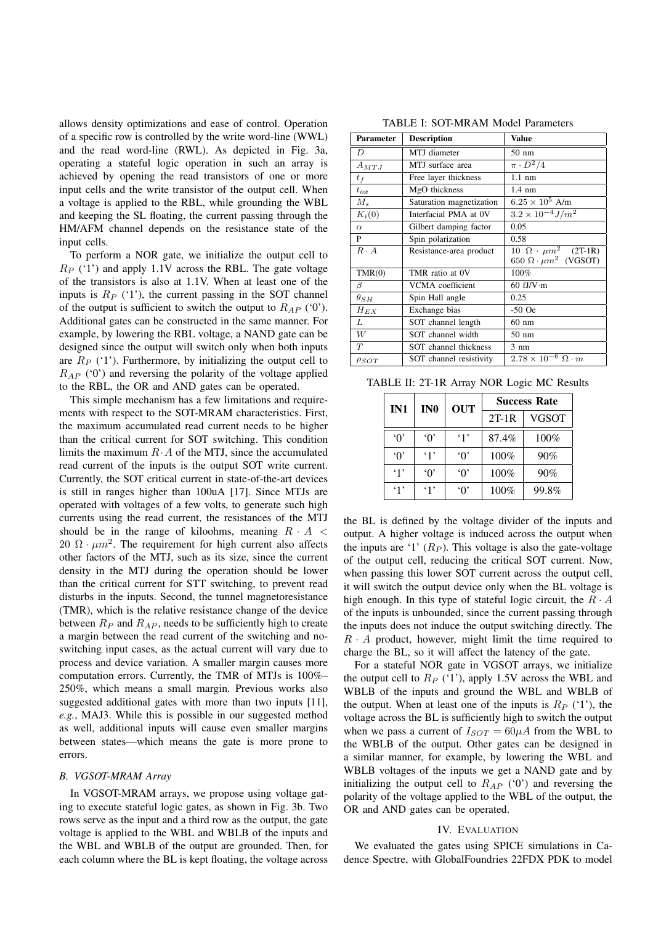allows density optimizations and ease of control. Operation of a specific row is controlled by the write word-line (WWL) and the read word-line (RWL). As depicted in Fig. 3a, operating a stateful logic operation in such an array is achieved by opening the read transistors of one or more input cells and the write transistor of the output cell. When a voltage is applied to the RBL, while grounding the WBL and keeping the SL floating, the current passing through the HM/AFM channel depends on the resistance state of the input cells.

To perform a NOR gate, we initialize the output cell to  $R_P$  ('1') and apply 1.1V across the RBL. The gate voltage of the transistors is also at 1.1V. When at least one of the inputs is  $R_P$  ('1'), the current passing in the SOT channel of the output is sufficient to switch the output to  $R_{AP}$  ('0'). Additional gates can be constructed in the same manner. For example, by lowering the RBL voltage, a NAND gate can be designed since the output will switch only when both inputs are  $R_P$  ('1'). Furthermore, by initializing the output cell to  $R_{AP}$  ('0') and reversing the polarity of the voltage applied to the RBL, the OR and AND gates can be operated.

This simple mechanism has a few limitations and requirements with respect to the SOT-MRAM characteristics. First, the maximum accumulated read current needs to be higher than the critical current for SOT switching. This condition limits the maximum  $R \cdot A$  of the MTJ, since the accumulated read current of the inputs is the output SOT write current. Currently, the SOT critical current in state-of-the-art devices is still in ranges higher than 100uA [17]. Since MTJs are operated with voltages of a few volts, to generate such high currents using the read current, the resistances of the MTJ should be in the range of kiloohms, meaning  $R \cdot A$  < 20  $\Omega \cdot \mu m^2$ . The requirement for high current also affects other factors of the MTJ, such as its size, since the current density in the MTJ during the operation should be lower than the critical current for STT switching, to prevent read disturbs in the inputs. Second, the tunnel magnetoresistance (TMR), which is the relative resistance change of the device between  $R_P$  and  $R_{AP}$ , needs to be sufficiently high to create a margin between the read current of the switching and noswitching input cases, as the actual current will vary due to process and device variation. A smaller margin causes more computation errors. Currently, the TMR of MTJs is 100%-250%, which means a small margin. Previous works also suggested additional gates with more than two inputs [11], e.g., MAJ3. While this is possible in our suggested method as well, additional inputs will cause even smaller margins between states—which means the gate is more prone to errors.

### **B.** VGSOT-MRAM Array

In VGSOT-MRAM arrays, we propose using voltage gating to execute stateful logic gates, as shown in Fig. 3b. Two rows serve as the input and a third row as the output, the gate voltage is applied to the WBL and WBLB of the inputs and the WBL and WBLB of the output are grounded. Then, for each column where the BL is kept floating, the voltage across

TABLE I: SOT-MRAM Model Parameters

| Parameter     | <b>Description</b>       | <b>Value</b>                                                            |  |
|---------------|--------------------------|-------------------------------------------------------------------------|--|
| D             | MTJ diameter             | $50 \text{ nm}$                                                         |  |
| $A_{MTJ}$     | MTJ surface area         | $\pi \cdot \overline{D^2/4}$                                            |  |
| $t_f$         | Free layer thickness     | $1.1 \text{ nm}$                                                        |  |
| $t_{ox}$      | MgO thickness            | $1.4 \text{ nm}$                                                        |  |
| $M_{s}$       | Saturation magnetization | $6.25 \times 10^5$ A/m                                                  |  |
| $K_i(0)$      | Interfacial PMA at 0V    | $3.2 \times 10^{-4} J/m^2$                                              |  |
| $\alpha$      | Gilbert damping factor   | 0.05                                                                    |  |
| P             | Spin polarization        | 0.58                                                                    |  |
| $R \cdot A$   | Resistance-area product  | $10 \Omega \cdot \mu m^2$ (2T-1R)<br>650 $\Omega \cdot \mu m^2$ (VGSOT) |  |
| TMR(0)        | TMR ratio at 0V          | 100%                                                                    |  |
| β             | VCMA coefficient         | 60 fJ/V $\cdot$ m                                                       |  |
| $\theta_{SH}$ | Spin Hall angle          | 0.25                                                                    |  |
| $H_{EX}$      | Exchange bias            | $-50$ Oe                                                                |  |
| L             | SOT channel length       | $60 \text{ nm}$                                                         |  |
| W             | SOT channel width        | $50 \text{ nm}$                                                         |  |
| T             | SOT channel thickness    | $3 \text{ nm}$                                                          |  |
| $\rho_{SOT}$  | SOT channel resistivity  | $2.78 \times 10^{-6} \Omega \cdot m$                                    |  |

TABLE II: 2T-1R Array NOR Logic MC Results

| IN1      | IN <sub>0</sub> | <b>OUT</b>   | <b>Success Rate</b> |              |
|----------|-----------------|--------------|---------------------|--------------|
|          |                 |              | $2T-1R$             | <b>VGSOT</b> |
| $\Omega$ | $\Omega$        | $\cdot_1$ ,  | 87.4%               | $100\%$      |
| $\Omega$ | `1'             | $\Omega$     | 100%                | 90%          |
| .1'      | $\Omega$        | $\Omega$     | 100%                | 90%          |
| .1       | $\cdot$ 1'      | $\lq \Omega$ | 100%                | 99.8%        |

the BL is defined by the voltage divider of the inputs and output. A higher voltage is induced across the output when the inputs are '1'  $(R_P)$ . This voltage is also the gate-voltage of the output cell, reducing the critical SOT current. Now, when passing this lower SOT current across the output cell, it will switch the output device only when the BL voltage is high enough. In this type of stateful logic circuit, the  $R \cdot A$ of the inputs is unbounded, since the current passing through the inputs does not induce the output switching directly. The  $R \cdot A$  product, however, might limit the time required to charge the BL, so it will affect the latency of the gate.

For a stateful NOR gate in VGSOT arrays, we initialize the output cell to  $R_P$  ('1'), apply 1.5V across the WBL and WBLB of the inputs and ground the WBL and WBLB of the output. When at least one of the inputs is  $R_P$  ('1'), the voltage across the BL is sufficiently high to switch the output when we pass a current of  $I_{SOT} = 60 \mu A$  from the WBL to the WBLB of the output. Other gates can be designed in a similar manner, for example, by lowering the WBL and WBLB voltages of the inputs we get a NAND gate and by initializing the output cell to  $R_{AP}$  ('0') and reversing the polarity of the voltage applied to the WBL of the output, the OR and AND gates can be operated.

## IV. EVALUATION

We evaluated the gates using SPICE simulations in Cadence Spectre, with GlobalFoundries 22FDX PDK to model